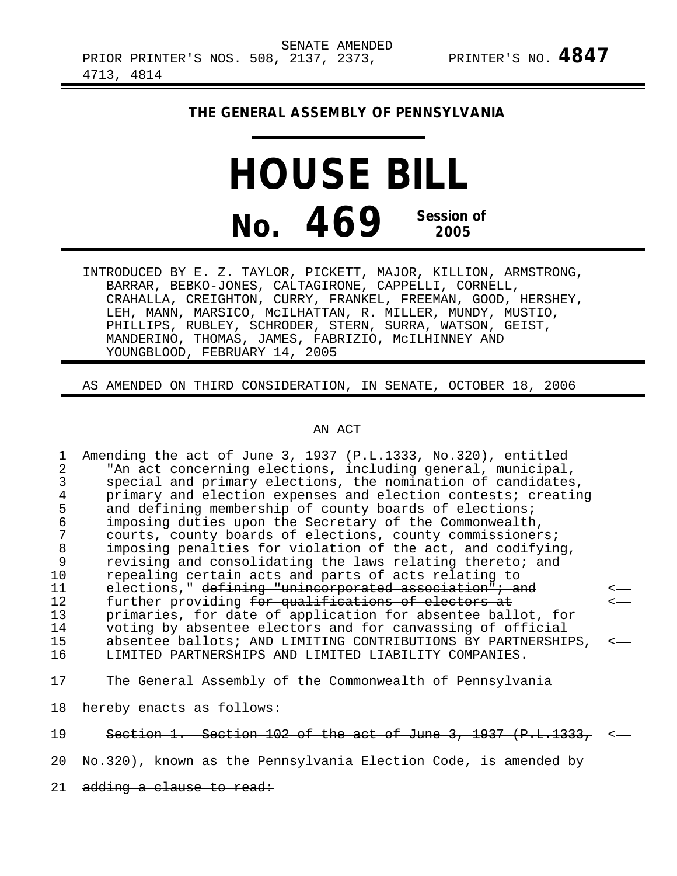## **THE GENERAL ASSEMBLY OF PENNSYLVANIA**

## **HOUSE BILL No. 469 Session of 2005**

INTRODUCED BY E. Z. TAYLOR, PICKETT, MAJOR, KILLION, ARMSTRONG, BARRAR, BEBKO-JONES, CALTAGIRONE, CAPPELLI, CORNELL, CRAHALLA, CREIGHTON, CURRY, FRANKEL, FREEMAN, GOOD, HERSHEY, LEH, MANN, MARSICO, McILHATTAN, R. MILLER, MUNDY, MUSTIO, PHILLIPS, RUBLEY, SCHRODER, STERN, SURRA, WATSON, GEIST, MANDERINO, THOMAS, JAMES, FABRIZIO, McILHINNEY AND YOUNGBLOOD, FEBRUARY 14, 2005

AS AMENDED ON THIRD CONSIDERATION, IN SENATE, OCTOBER 18, 2006

## AN ACT

1 Amending the act of June 3, 1937 (P.L.1333, No.320), entitled<br>2 TAn act concerning elections, including general, municipal 2 The act concerning elections, including general, municipal,<br>3 Special and primary elections, the nomination of candidates 3 special and primary elections, the nomination of candidates,<br>4 orimary and election expenses and election contests; creating 4 primary and election expenses and election contests; creating<br>5 and defining membership of county boards of elections; 5 and defining membership of county boards of elections;<br>6 imposing duties upon the Secretary of the Commonwealth 6 imposing duties upon the Secretary of the Commonwealth, 7 courts, county boards of elections, county commissioners;<br>8 imposing penalties for violation of the act, and codifyin 8 imposing penalties for violation of the act, and codifying,<br>9 revising and consolidating the laws relating thereto; and 9 revising and consolidating the laws relating thereto; and<br>10 repealing certain acts and parts of acts relating to 10 repealing certain acts and parts of acts relating to<br>11 elections." <del>defining "unincorporated association"; a</del> 11 elections," defining "unincorporated association"; and<br>12 further providing <del>for qualifications of electors at</del> 12 further providing for qualifications of electors at 13 primaries, for date of application for absentee ball 13 primaries, for date of application for absentee ballot, for<br>14 voting by absentee electors and for canvassing of official 14 voting by absentee electors and for canvassing of official 15 absentee ballots; AND LIMITING CONTRIBUTIONS BY PARTNERSHIPS,<br>16 1.JMITED PARTNERSHIPS AND LIMITED LIABILITY COMPANIES. LIMITED PARTNERSHIPS AND LIMITED LIABILITY COMPANIES. 17 The General Assembly of the Commonwealth of Pennsylvania

18 hereby enacts as follows:

19 Section 1. Section 102 of the act of June 3, 1937 (P.L.1333,

20 No.320), known as the Pennsylvania Election Code, is amended by

21 adding a clause to read: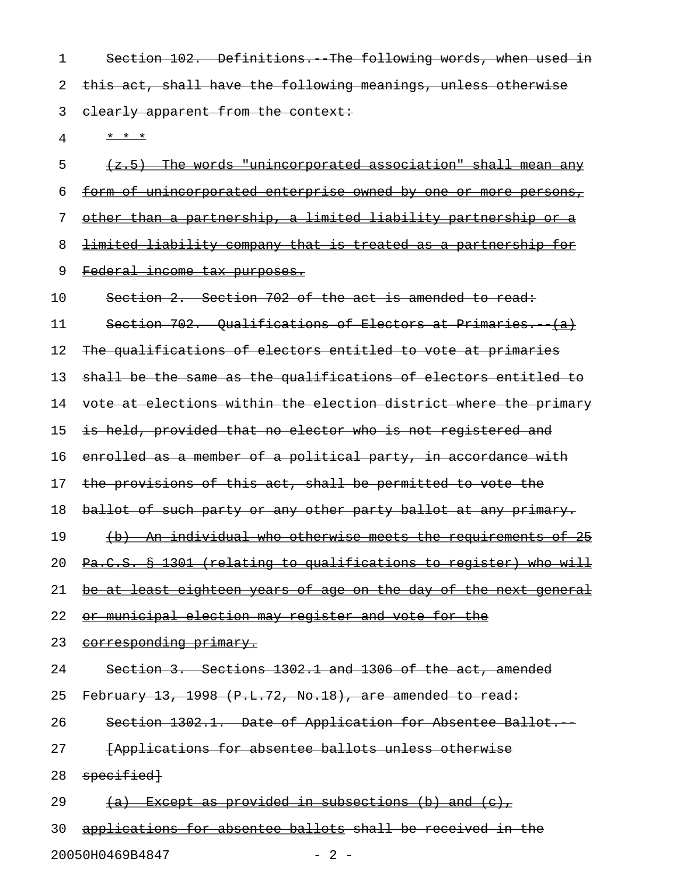1 Section 102. Definitions. The following words, when used in 2 this act, shall have the following meanings, unless otherwise 3 elearly apparent from the context:

4 \* \* \* \*

 $5$  (z.5) The words "unincorporated association" shall mean any 6 form of unincorporated enterprise owned by one or more persons, 7 other than a partnership, a limited liability partnership or a 8 limited liability company that is treated as a partnership for 9 Federal income tax purposes. 10 Section 2. Section 702 of the act is amended to read: 11 Section 702. Qualifications of Electors at Primaries. (a) 12 The qualifications of electors entitled to vote at primaries 13 shall be the same as the qualifications of electors entitled to 14 vote at elections within the election district where the primary 15 is held, provided that no elector who is not registered and 16 enrolled as a member of a political party, in accordance with 17 the provisions of this act, shall be permitted to vote the 18 ballot of such party or any other party ballot at any primary. 19 (b) An individual who otherwise meets the requirements of 25 20 Pa.C.S. § 1301 (relating to qualifications to register) who will 21 be at least eighteen years of age on the day of the next general 22 or municipal election may register and vote for the 23 corresponding primary. 24 Section 3. Sections 1302.1 and 1306 of the act, amended 25 February 13, 1998 (P.L.72, No.18), are amended to read: 26 Section 1302.1. Date of Application for Absentee Ballot.

27 **[Applications for absentee ballots unless otherwise** 

28 specified

29  $(a)$  Except as provided in subsections (b) and (c),

30 applications for absentee ballots shall be received in the 20050H0469B4847 - 2 -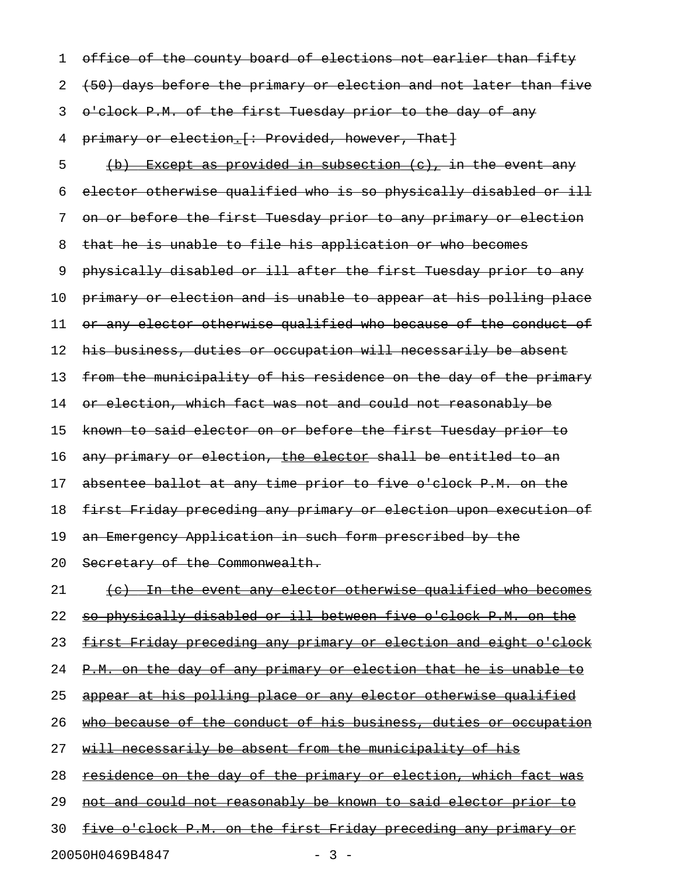1 office of the county board of elections not earlier than fifty 2 (50) days before the primary or election and not later than five 3 o'clock P.M. of the first Tuesday prior to the day of any 4 primary or election. [: Provided, however, That] 5 (b) Except as provided in subsection  $(e)$ , in the event any 6 elector otherwise qualified who is so physically disabled or ill 7 on or before the first Tuesday prior to any primary or election 8 that he is unable to file his application or who becomes 9 physically disabled or ill after the first Tuesday prior to any 10 primary or election and is unable to appear at his polling place 11 or any elector otherwise qualified who because of the conduct of 12 his business, duties or occupation will necessarily be absent 13 from the municipality of his residence on the day of the primary 14 or election, which fact was not and could not reasonably be 15 known to said elector on or before the first Tuesday prior to 16 any primary or election, the elector shall be entitled to an 17 absentee ballot at any time prior to five o'clock P.M. on the 18 first Friday preceding any primary or election upon execution of 19 an Emergency Application in such form prescribed by the 20 Secretary of the Commonwealth. 21 (c) In the event any elector otherwise qualified who becomes 22 so physically disabled or ill between five o'clock P.M. on the 23 first Friday preceding any primary or election and eight o'clock 24 P.M. on the day of any primary or election that he is unable to 25 appear at his polling place or any elector otherwise qualified 26 who because of the conduct of his business, duties or occupation 27 will necessarily be absent from the municipality of his 28 residence on the day of the primary or election, which fact was 29 not and could not reasonably be known to said elector prior to 30 five o'clock P.M. on the first Friday preceding any primary or

20050H0469B4847 - 3 -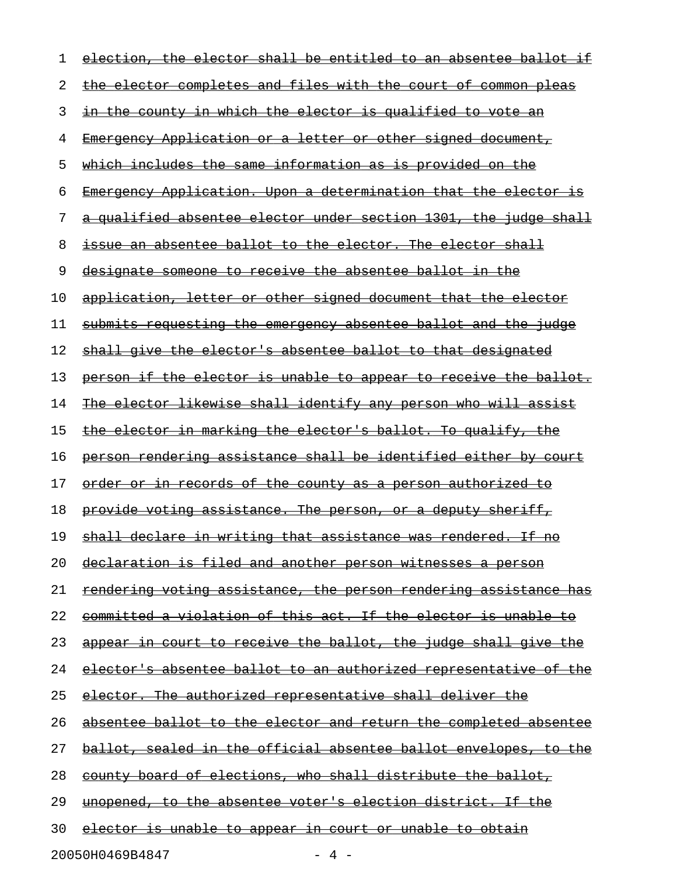| 1  | election, the elector shall be entitled to an absentee ballot if       |
|----|------------------------------------------------------------------------|
| 2  | the elector completes and files with the court of common pleas         |
| 3  | in the county in which the elector is qualified to vote an             |
| 4  | <u> Emergency Application or a letter or other signed document, </u>   |
| 5  | <u>which includes the same information as is provided on the </u>      |
| 6  | Emergency Application. Upon a determination that the elector is        |
| 7  | a qualified absentee elector under section 1301, the judge shall       |
| 8  | issue an absentee ballot to the elector. The elector shall             |
| 9  | designate someone to receive the absentee ballot in the                |
| 10 | application, letter or other signed document that the elector          |
| 11 | submits requesting the emergency absentee ballot and the judge         |
| 12 | shall give the elector's absentee ballot to that designated            |
| 13 | person if the elector is unable to appear to receive the ballot.       |
| 14 | The elector likewise shall identify any person who will assist         |
| 15 | <u>the elector in marking the elector's ballot. To qualify, the </u>   |
| 16 | person rendering assistance shall be identified either by court        |
| 17 | <u>order or in records of the county as a person authorized to</u>     |
| 18 | provide voting assistance. The person, or a deputy sheriff,            |
| 19 | shall declare in writing that assistance was rendered. If no           |
| 20 | declaration is filed and another person witnesses a person             |
| 21 | rendering voting assistance, the person rendering assistance has       |
| 22 | committed a violation of this act. If the elector is unable to         |
| 23 | <u>appear in court to receive the ballot, the judge shall give the</u> |
| 24 | elector's absentee ballot to an authorized representative of the       |
| 25 | <u>elector. The authorized representative shall deliver the</u>        |
| 26 | absentee ballot to the elector and return the completed absentee       |
| 27 | ballot, sealed in the official absentee ballot envelopes, to the       |
| 28 | county board of elections, who shall distribute the ballot,            |
| 29 | <u>unopened, to the absentee voter's election district. If the </u>    |
| 30 | <u>elector is unable to appear in court or unable to obtain</u>        |
|    | 20050H0469B4847<br>- 4 -                                               |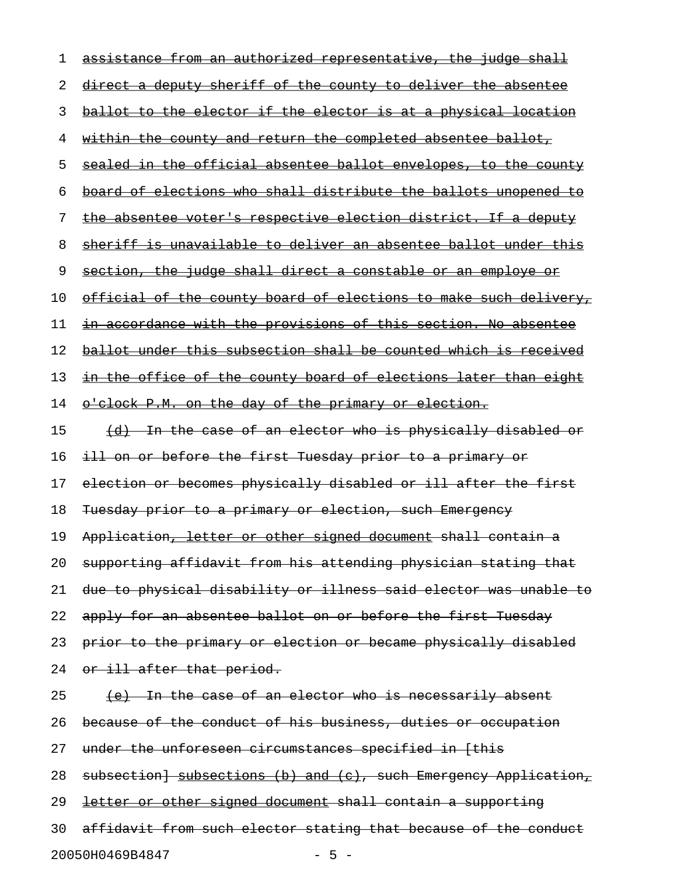| 1  | assistance from an authorized representative, the judge shall           |
|----|-------------------------------------------------------------------------|
| 2  | direct a deputy sheriff of the county to deliver the absentee           |
| 3  | ballot to the elector if the elector is at a physical location          |
| 4  | <u>within the county and return the completed absentee ballot, </u>     |
| 5  | sealed in the official absentee ballot envelopes, to the county         |
| 6  | board of elections who shall distribute the ballots unopened to         |
| 7  | the absentee voter's respective election district. If a deputy          |
| 8  | sheriff is unavailable to deliver an absentee ballot under this         |
| 9  | section, the judge shall direct a constable or an employe or            |
| 10 | <u>official of the county board of elections to make such delivery,</u> |
| 11 | in accordance with the provisions of this section. No absentee          |
| 12 | ballot under this subsection shall be counted which is received         |
| 13 | <u>in the office of the county board of elections later than eight</u>  |
| 14 | o'clock P.M. on the day of the primary or election.                     |
| 15 | (d) In the case of an elector who is physically disabled or             |
| 16 | ill on or before the first Tuesday prior to a primary or                |
| 17 | election or becomes physically disabled or ill after the first          |
| 18 | Tuesday prior to a primary or election, such Emergency                  |
| 19 | Application, letter or other signed document shall contain a            |
| 20 | supporting affidavit from his attending physician stating that          |
| 21 | due to physical disability or illness said elector was unable to        |
| 22 | apply for an absentee ballot on or before the first Tuesday             |
| 23 | prior to the primary or election or became physically disabled          |
| 24 | or ill after that period.                                               |
| 25 | <u>(e) In the case of an elector who is necessarily absent</u>          |
| 26 | because of the conduct of his business, duties or occupation            |
| 27 | under the unforeseen circumstances specified in [this                   |
| 28 | subsection] subsections (b) and (c), such Emergency Application,        |
| 29 | letter or other signed document shall contain a supporting              |
| 30 | affidavit from such elector stating that because of the conduct         |
|    | 20050H0469B4847<br>$-5 -$                                               |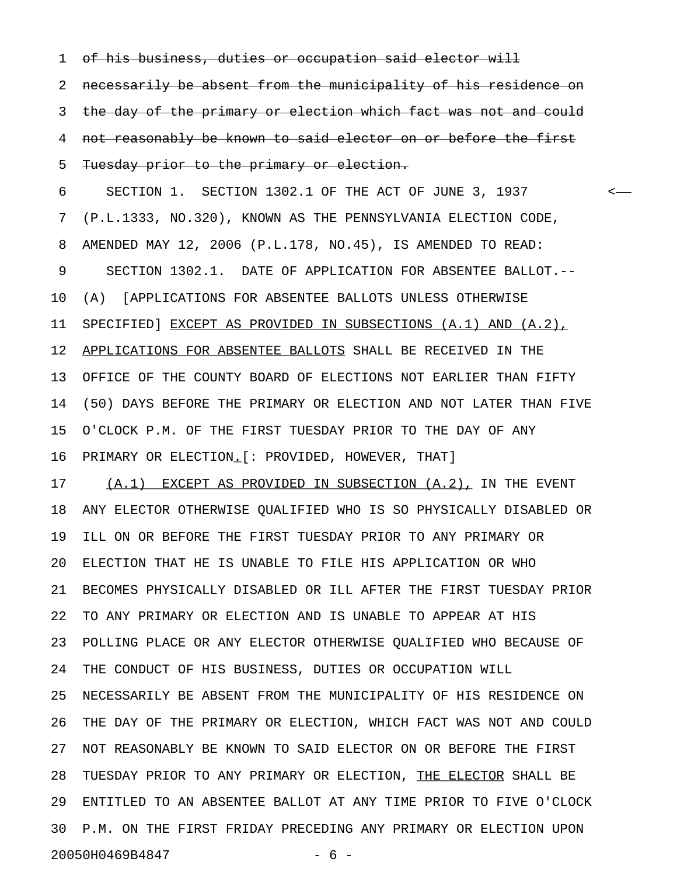1 of his business, duties or occupation said elector will

2 necessarily be absent from the municipality of his residence on 3 the day of the primary or election which fact was not and could 4 not reasonably be known to said elector on or before the first 5 Tuesday prior to the primary or election.

6 SECTION 1. SECTION 1302.1 OF THE ACT OF JUNE 3, 1937 < 7 (P.L.1333, NO.320), KNOWN AS THE PENNSYLVANIA ELECTION CODE, 8 AMENDED MAY 12, 2006 (P.L.178, NO.45), IS AMENDED TO READ: 9 SECTION 1302.1. DATE OF APPLICATION FOR ABSENTEE BALLOT.-- 10 (A) [APPLICATIONS FOR ABSENTEE BALLOTS UNLESS OTHERWISE 11 SPECIFIED] EXCEPT AS PROVIDED IN SUBSECTIONS (A.1) AND (A.2), 12 APPLICATIONS FOR ABSENTEE BALLOTS SHALL BE RECEIVED IN THE 13 OFFICE OF THE COUNTY BOARD OF ELECTIONS NOT EARLIER THAN FIFTY 14 (50) DAYS BEFORE THE PRIMARY OR ELECTION AND NOT LATER THAN FIVE 15 O'CLOCK P.M. OF THE FIRST TUESDAY PRIOR TO THE DAY OF ANY 16 PRIMARY OR ELECTION.[: PROVIDED, HOWEVER, THAT] \_

17 (A.1) EXCEPT AS PROVIDED IN SUBSECTION (A.2), IN THE EVENT 18 ANY ELECTOR OTHERWISE QUALIFIED WHO IS SO PHYSICALLY DISABLED OR 19 ILL ON OR BEFORE THE FIRST TUESDAY PRIOR TO ANY PRIMARY OR 20 ELECTION THAT HE IS UNABLE TO FILE HIS APPLICATION OR WHO 21 BECOMES PHYSICALLY DISABLED OR ILL AFTER THE FIRST TUESDAY PRIOR 22 TO ANY PRIMARY OR ELECTION AND IS UNABLE TO APPEAR AT HIS 23 POLLING PLACE OR ANY ELECTOR OTHERWISE QUALIFIED WHO BECAUSE OF 24 THE CONDUCT OF HIS BUSINESS, DUTIES OR OCCUPATION WILL 25 NECESSARILY BE ABSENT FROM THE MUNICIPALITY OF HIS RESIDENCE ON 26 THE DAY OF THE PRIMARY OR ELECTION, WHICH FACT WAS NOT AND COULD 27 NOT REASONABLY BE KNOWN TO SAID ELECTOR ON OR BEFORE THE FIRST 28 TUESDAY PRIOR TO ANY PRIMARY OR ELECTION, THE ELECTOR SHALL BE 29 ENTITLED TO AN ABSENTEE BALLOT AT ANY TIME PRIOR TO FIVE O'CLOCK 30 P.M. ON THE FIRST FRIDAY PRECEDING ANY PRIMARY OR ELECTION UPON 20050H0469B4847 - 6 -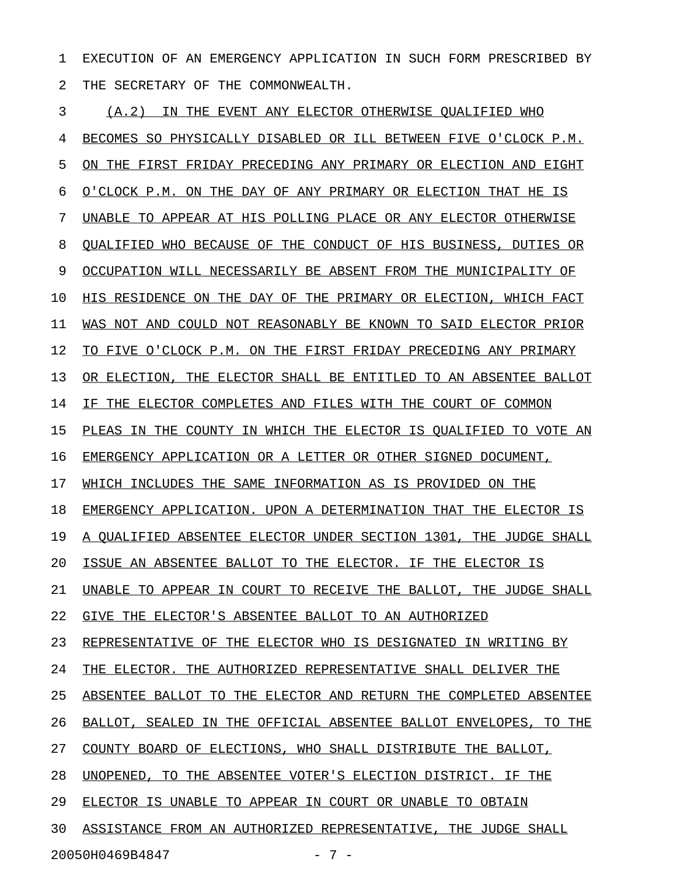1 EXECUTION OF AN EMERGENCY APPLICATION IN SUCH FORM PRESCRIBED BY 2 THE SECRETARY OF THE COMMONWEALTH.

3 (A.2) IN THE EVENT ANY ELECTOR OTHERWISE QUALIFIED WHO 4 BECOMES SO PHYSICALLY DISABLED OR ILL BETWEEN FIVE O'CLOCK P.M. 5 ON THE FIRST FRIDAY PRECEDING ANY PRIMARY OR ELECTION AND EIGHT 6 O'CLOCK P.M. ON THE DAY OF ANY PRIMARY OR ELECTION THAT HE IS 7 UNABLE TO APPEAR AT HIS POLLING PLACE OR ANY ELECTOR OTHERWISE 8 OUALIFIED WHO BECAUSE OF THE CONDUCT OF HIS BUSINESS, DUTIES OR 9 OCCUPATION WILL NECESSARILY BE ABSENT FROM THE MUNICIPALITY OF 10 HIS RESIDENCE ON THE DAY OF THE PRIMARY OR ELECTION, WHICH FACT 11 WAS NOT AND COULD NOT REASONABLY BE KNOWN TO SAID ELECTOR PRIOR 12 TO FIVE O'CLOCK P.M. ON THE FIRST FRIDAY PRECEDING ANY PRIMARY 13 OR ELECTION, THE ELECTOR SHALL BE ENTITLED TO AN ABSENTEE BALLOT 14 IF THE ELECTOR COMPLETES AND FILES WITH THE COURT OF COMMON 15 PLEAS IN THE COUNTY IN WHICH THE ELECTOR IS QUALIFIED TO VOTE AN 16 EMERGENCY APPLICATION OR A LETTER OR OTHER SIGNED DOCUMENT, 17 WHICH INCLUDES THE SAME INFORMATION AS IS PROVIDED ON THE 18 EMERGENCY APPLICATION. UPON A DETERMINATION THAT THE ELECTOR IS 19 A QUALIFIED ABSENTEE ELECTOR UNDER SECTION 1301, THE JUDGE SHALL 20 ISSUE AN ABSENTEE BALLOT TO THE ELECTOR. IF THE ELECTOR IS 21 UNABLE TO APPEAR IN COURT TO RECEIVE THE BALLOT, THE JUDGE SHALL 22 GIVE THE ELECTOR'S ABSENTEE BALLOT TO AN AUTHORIZED 23 REPRESENTATIVE OF THE ELECTOR WHO IS DESIGNATED IN WRITING BY 24 THE ELECTOR. THE AUTHORIZED REPRESENTATIVE SHALL DELIVER THE 25 ABSENTEE BALLOT TO THE ELECTOR AND RETURN THE COMPLETED ABSENTEE 26 BALLOT, SEALED IN THE OFFICIAL ABSENTEE BALLOT ENVELOPES, TO THE 27 COUNTY BOARD OF ELECTIONS, WHO SHALL DISTRIBUTE THE BALLOT, 28 UNOPENED, TO THE ABSENTEE VOTER'S ELECTION DISTRICT. IF THE 29 ELECTOR IS UNABLE TO APPEAR IN COURT OR UNABLE TO OBTAIN 30 ASSISTANCE FROM AN AUTHORIZED REPRESENTATIVE, THE JUDGE SHALL 20050H0469B4847 - 7 -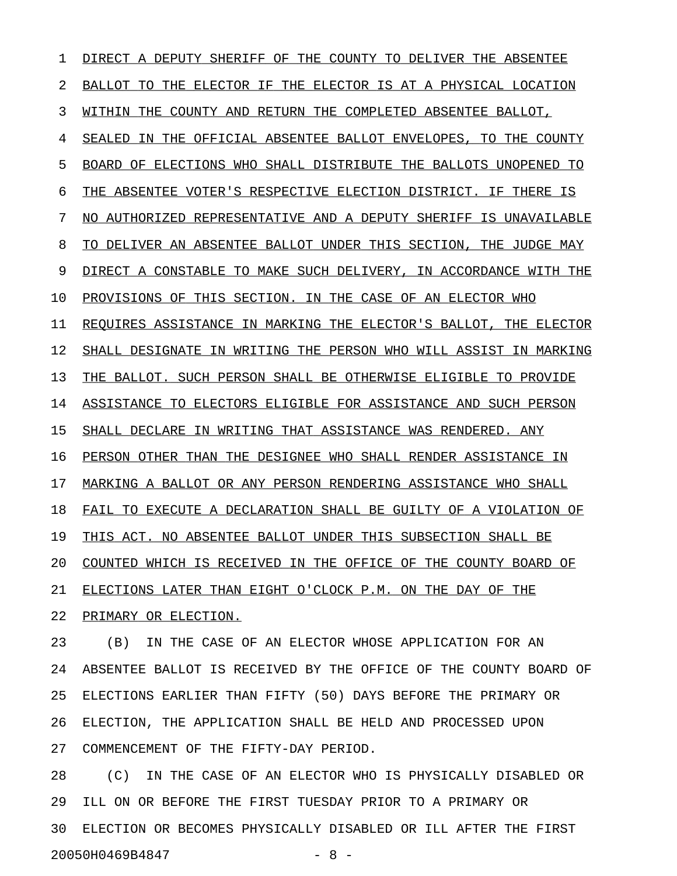1 DIRECT A DEPUTY SHERIFF OF THE COUNTY TO DELIVER THE ABSENTEE 2 BALLOT TO THE ELECTOR IF THE ELECTOR IS AT A PHYSICAL LOCATION 3 WITHIN THE COUNTY AND RETURN THE COMPLETED ABSENTEE BALLOT, 4 SEALED IN THE OFFICIAL ABSENTEE BALLOT ENVELOPES, TO THE COUNTY 5 BOARD OF ELECTIONS WHO SHALL DISTRIBUTE THE BALLOTS UNOPENED TO 6 THE ABSENTEE VOTER'S RESPECTIVE ELECTION DISTRICT. IF THERE IS 7 NO AUTHORIZED REPRESENTATIVE AND A DEPUTY SHERIFF IS UNAVAILABLE 8 TO DELIVER AN ABSENTEE BALLOT UNDER THIS SECTION, THE JUDGE MAY 9 DIRECT A CONSTABLE TO MAKE SUCH DELIVERY, IN ACCORDANCE WITH THE 10 PROVISIONS OF THIS SECTION. IN THE CASE OF AN ELECTOR WHO 11 REQUIRES ASSISTANCE IN MARKING THE ELECTOR'S BALLOT, THE ELECTOR 12 SHALL DESIGNATE IN WRITING THE PERSON WHO WILL ASSIST IN MARKING 13 THE BALLOT. SUCH PERSON SHALL BE OTHERWISE ELIGIBLE TO PROVIDE 14 ASSISTANCE TO ELECTORS ELIGIBLE FOR ASSISTANCE AND SUCH PERSON 15 SHALL DECLARE IN WRITING THAT ASSISTANCE WAS RENDERED. ANY 16 PERSON OTHER THAN THE DESIGNEE WHO SHALL RENDER ASSISTANCE IN 17 MARKING A BALLOT OR ANY PERSON RENDERING ASSISTANCE WHO SHALL 18 FAIL TO EXECUTE A DECLARATION SHALL BE GUILTY OF A VIOLATION OF 19 THIS ACT. NO ABSENTEE BALLOT UNDER THIS SUBSECTION SHALL BE 20 COUNTED WHICH IS RECEIVED IN THE OFFICE OF THE COUNTY BOARD OF 21 ELECTIONS LATER THAN EIGHT O'CLOCK P.M. ON THE DAY OF THE 22 PRIMARY OR ELECTION.

23 (B) IN THE CASE OF AN ELECTOR WHOSE APPLICATION FOR AN 24 ABSENTEE BALLOT IS RECEIVED BY THE OFFICE OF THE COUNTY BOARD OF 25 ELECTIONS EARLIER THAN FIFTY (50) DAYS BEFORE THE PRIMARY OR 26 ELECTION, THE APPLICATION SHALL BE HELD AND PROCESSED UPON 27 COMMENCEMENT OF THE FIFTY-DAY PERIOD.

28 (C) IN THE CASE OF AN ELECTOR WHO IS PHYSICALLY DISABLED OR 29 ILL ON OR BEFORE THE FIRST TUESDAY PRIOR TO A PRIMARY OR 30 ELECTION OR BECOMES PHYSICALLY DISABLED OR ILL AFTER THE FIRST 20050H0469B4847 - 8 -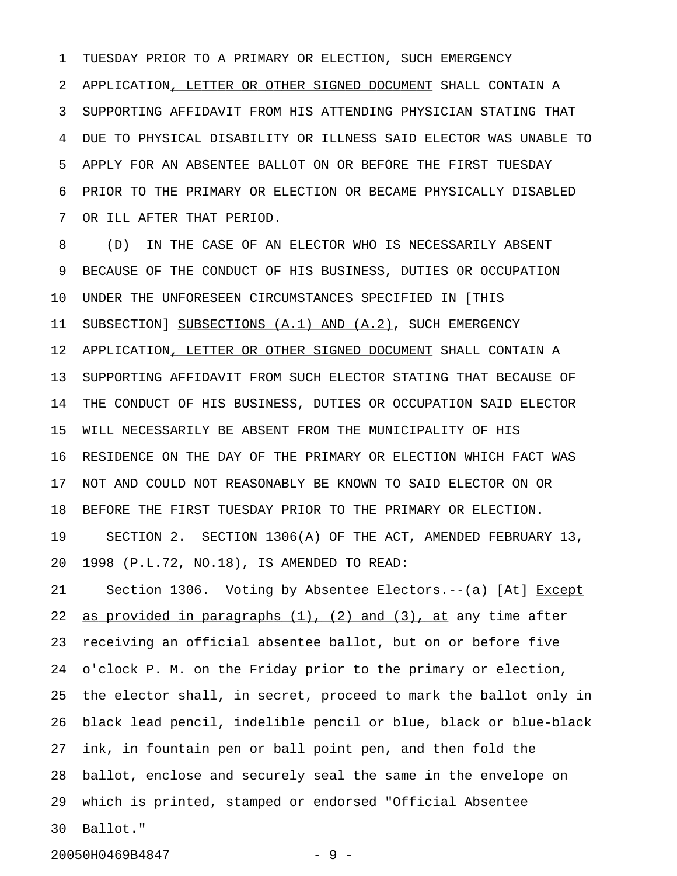1 TUESDAY PRIOR TO A PRIMARY OR ELECTION, SUCH EMERGENCY 2 APPLICATION, LETTER OR OTHER SIGNED DOCUMENT SHALL CONTAIN A 3 SUPPORTING AFFIDAVIT FROM HIS ATTENDING PHYSICIAN STATING THAT 4 DUE TO PHYSICAL DISABILITY OR ILLNESS SAID ELECTOR WAS UNABLE TO 5 APPLY FOR AN ABSENTEE BALLOT ON OR BEFORE THE FIRST TUESDAY 6 PRIOR TO THE PRIMARY OR ELECTION OR BECAME PHYSICALLY DISABLED 7 OR ILL AFTER THAT PERIOD.

8 (D) IN THE CASE OF AN ELECTOR WHO IS NECESSARILY ABSENT 9 BECAUSE OF THE CONDUCT OF HIS BUSINESS, DUTIES OR OCCUPATION 10 UNDER THE UNFORESEEN CIRCUMSTANCES SPECIFIED IN [THIS 11 SUBSECTION] SUBSECTIONS (A.1) AND (A.2), SUCH EMERGENCY 12 APPLICATION, LETTER OR OTHER SIGNED DOCUMENT SHALL CONTAIN A 13 SUPPORTING AFFIDAVIT FROM SUCH ELECTOR STATING THAT BECAUSE OF 14 THE CONDUCT OF HIS BUSINESS, DUTIES OR OCCUPATION SAID ELECTOR 15 WILL NECESSARILY BE ABSENT FROM THE MUNICIPALITY OF HIS 16 RESIDENCE ON THE DAY OF THE PRIMARY OR ELECTION WHICH FACT WAS 17 NOT AND COULD NOT REASONABLY BE KNOWN TO SAID ELECTOR ON OR 18 BEFORE THE FIRST TUESDAY PRIOR TO THE PRIMARY OR ELECTION. 19 SECTION 2. SECTION 1306(A) OF THE ACT, AMENDED FEBRUARY 13, 20 1998 (P.L.72, NO.18), IS AMENDED TO READ:

21 Section 1306. Voting by Absentee Electors.--(a) [At] Except 22 as provided in paragraphs  $(1)$ ,  $(2)$  and  $(3)$ , at any time after 23 receiving an official absentee ballot, but on or before five 24 o'clock P. M. on the Friday prior to the primary or election, 25 the elector shall, in secret, proceed to mark the ballot only in 26 black lead pencil, indelible pencil or blue, black or blue-black 27 ink, in fountain pen or ball point pen, and then fold the 28 ballot, enclose and securely seal the same in the envelope on 29 which is printed, stamped or endorsed "Official Absentee 30 Ballot."

20050H0469B4847 - 9 -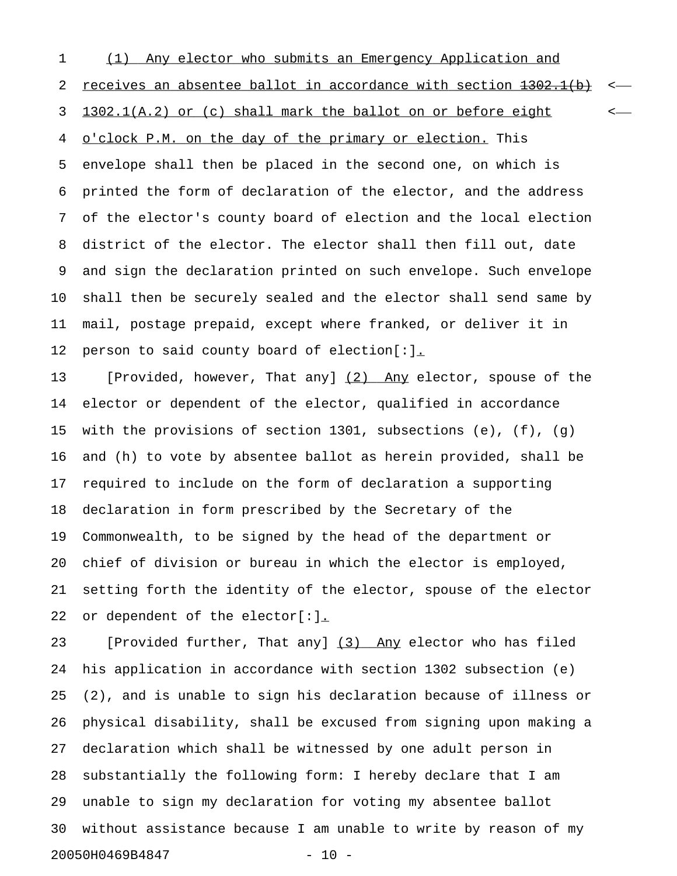1 (1) Any elector who submits an Emergency Application and 2 receives an absentee ballot in accordance with section  $1302.1(b)$  <-3 1302.1(A.2) or (c) shall mark the ballot on or before eight  $\leftarrow$ 4 o'clock P.M. on the day of the primary or election. This 5 envelope shall then be placed in the second one, on which is 6 printed the form of declaration of the elector, and the address 7 of the elector's county board of election and the local election 8 district of the elector. The elector shall then fill out, date 9 and sign the declaration printed on such envelope. Such envelope 10 shall then be securely sealed and the elector shall send same by 11 mail, postage prepaid, except where franked, or deliver it in 12 person to said county board of election[:].

13 [Provided, however, That any] (2) Any elector, spouse of the 14 elector or dependent of the elector, qualified in accordance 15 with the provisions of section 1301, subsections (e), (f), (g) 16 and (h) to vote by absentee ballot as herein provided, shall be 17 required to include on the form of declaration a supporting 18 declaration in form prescribed by the Secretary of the 19 Commonwealth, to be signed by the head of the department or 20 chief of division or bureau in which the elector is employed, 21 setting forth the identity of the elector, spouse of the elector 22 or dependent of the elector[:].

23 [Provided further, That any] (3) Any elector who has filed 24 his application in accordance with section 1302 subsection (e) 25 (2), and is unable to sign his declaration because of illness or 26 physical disability, shall be excused from signing upon making a 27 declaration which shall be witnessed by one adult person in 28 substantially the following form: I hereby declare that I am 29 unable to sign my declaration for voting my absentee ballot 30 without assistance because I am unable to write by reason of my 20050H0469B4847 - 10 -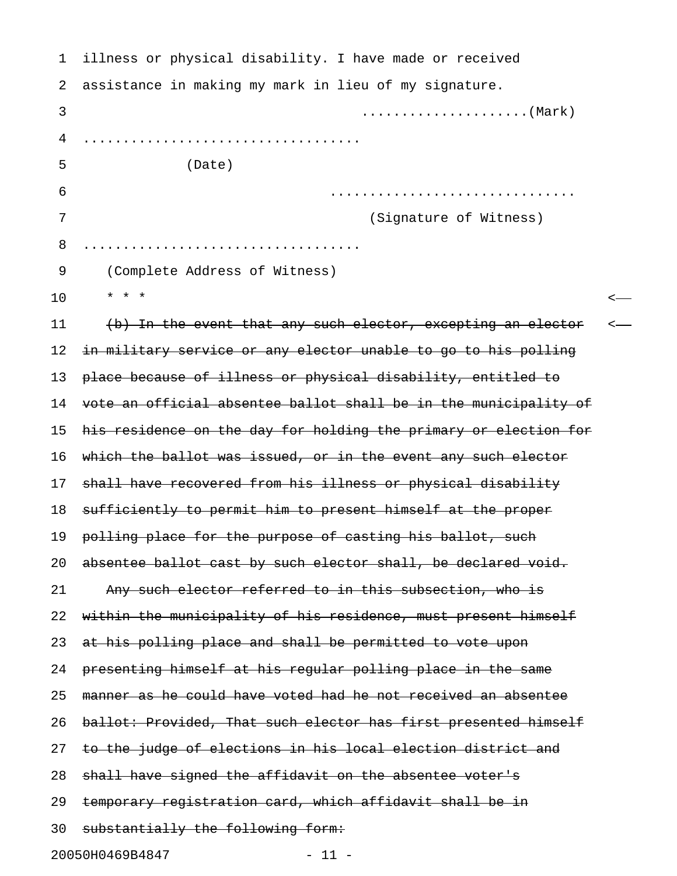| 1  | illness or physical disability. I have made or received          |  |
|----|------------------------------------------------------------------|--|
| 2  | assistance in making my mark in lieu of my signature.            |  |
| 3  |                                                                  |  |
| 4  |                                                                  |  |
| 5  | (Date)                                                           |  |
| 6  |                                                                  |  |
| 7  | (Signature of Witness)                                           |  |
| 8  |                                                                  |  |
| 9  | (Complete Address of Witness)                                    |  |
| 10 | $\star$ $\star$ $\star$                                          |  |
| 11 | (b) In the event that any such elector, excepting an elector     |  |
| 12 | in military service or any elector unable to go to his polling   |  |
| 13 | place because of illness or physical disability, entitled to     |  |
| 14 | vote an official absentee ballot shall be in the municipality of |  |
| 15 | his residence on the day for holding the primary or election for |  |
| 16 | which the ballot was issued, or in the event any such elector    |  |
| 17 | shall have recovered from his illness or physical disability     |  |
| 18 | sufficiently to permit him to present himself at the proper      |  |
| 19 | polling place for the purpose of casting his ballot, such        |  |
| 20 | absentee ballot cast by such elector shall, be declared void.    |  |
| 21 | Any such elector referred to in this subsection, who is          |  |
| 22 | within the municipality of his residence, must present himself   |  |
| 23 | at his polling place and shall be permitted to vote upon         |  |
| 24 | presenting himself at his regular polling place in the same      |  |
| 25 | manner as he could have voted had he not received an absentee    |  |
| 26 | ballot: Provided, That such elector has first presented himself  |  |
| 27 | to the judge of elections in his local election district and     |  |
| 28 | shall have signed the affidavit on the absentee voter's          |  |
| 29 | temporary registration card, which affidavit shall be in         |  |
| 30 | substantially the following form:                                |  |
|    | 20050H0469B4847<br>$-11 -$                                       |  |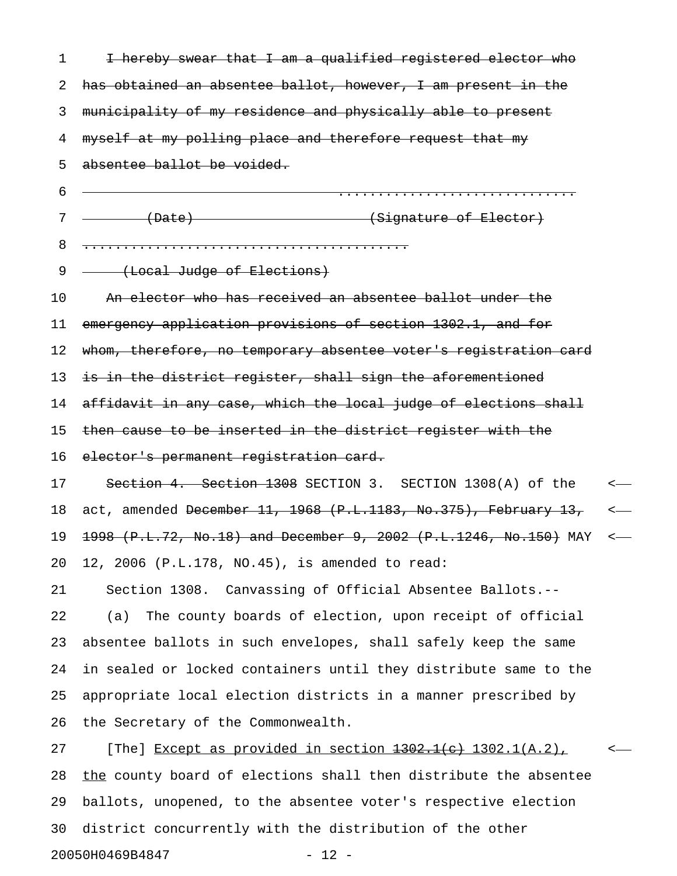| 1  | I hereby swear that I am a qualified registered elector who                |                  |
|----|----------------------------------------------------------------------------|------------------|
| 2  | has obtained an absentee ballot, however, I am present in the              |                  |
| 3  | municipality of my residence and physically able to present                |                  |
| 4  | myself at my polling place and therefore request that my                   |                  |
| 5  | absentee ballot be voided.                                                 |                  |
| 6  |                                                                            |                  |
| 7  | (Signature of Elector)<br>$\leftarrow$ (Date)                              |                  |
| 8  |                                                                            |                  |
| 9  | (Local Judge of Elections)                                                 |                  |
| 10 | An elector who has received an absentee ballot under the                   |                  |
| 11 | emergency application provisions of section 1302.1, and for                |                  |
| 12 | whom, therefore, no temporary absentee voter's registration card           |                  |
| 13 | is in the district register, shall sign the aforementioned                 |                  |
| 14 | affidavit in any case, which the local judge of elections shall            |                  |
| 15 | then cause to be inserted in the district register with the                |                  |
| 16 | elector's permanent registration card.                                     |                  |
| 17 | Section 4. Section 1308 SECTION 3. SECTION 1308(A) of the                  | $\longleftarrow$ |
| 18 | act, amended <del>December 11, 1968 (P.L.1183, No.375), February 13,</del> | $\longleftarrow$ |
| 19 | 1998 (P.L.72, No.18) and December 9, 2002 (P.L.1246, No.150) MAY           | $\longleftarrow$ |
| 20 | 12, 2006 (P.L.178, NO.45), is amended to read:                             |                  |
| 21 | Section 1308. Canvassing of Official Absentee Ballots.--                   |                  |
| 22 | The county boards of election, upon receipt of official<br>(a)             |                  |
| 23 | absentee ballots in such envelopes, shall safely keep the same             |                  |
| 24 | in sealed or locked containers until they distribute same to the           |                  |
| 25 | appropriate local election districts in a manner prescribed by             |                  |
| 26 | the Secretary of the Commonwealth.                                         |                  |
| 27 | [The] Except as provided in section 1302.1(e) 1302.1(A.2),                 |                  |
| 28 | the county board of elections shall then distribute the absentee           |                  |
| 29 | ballots, unopened, to the absentee voter's respective election             |                  |
| 30 | district concurrently with the distribution of the other                   |                  |

20050H0469B4847 - 12 -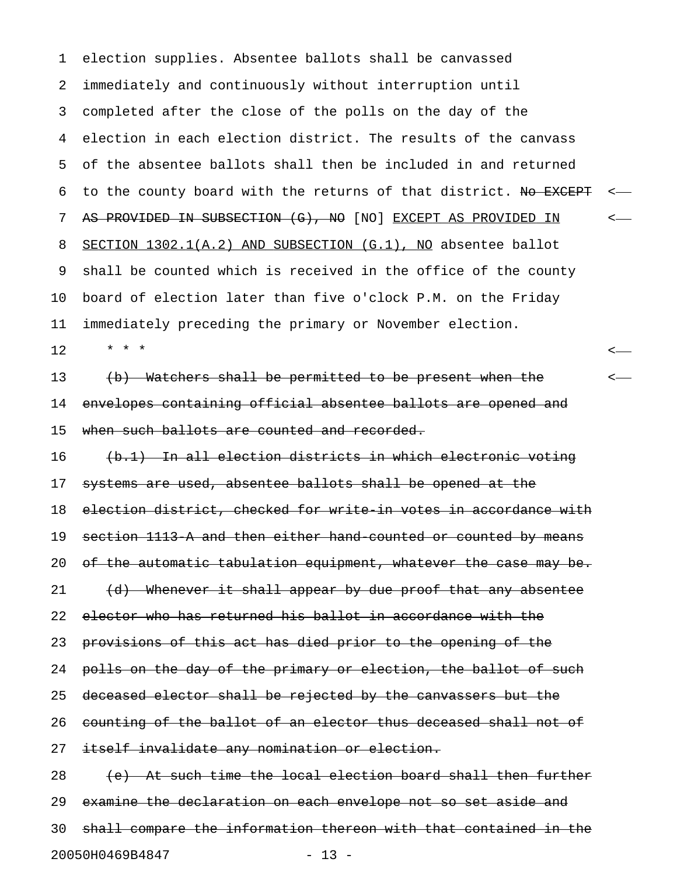1 election supplies. Absentee ballots shall be canvassed 2 immediately and continuously without interruption until 3 completed after the close of the polls on the day of the 4 election in each election district. The results of the canvass 5 of the absentee ballots shall then be included in and returned 6 to the county board with the returns of that district. No EXCEPT <-7 AS PROVIDED IN SUBSECTION (G), NO [NO] EXCEPT AS PROVIDED IN <-8 SECTION 1302.1(A.2) AND SUBSECTION (G.1), NO absentee ballot 9 shall be counted which is received in the office of the county 10 board of election later than five o'clock P.M. on the Friday 11 immediately preceding the primary or November election. 12 \* \* \* < 13 (b) Watchers shall be permitted to be present when the  $\leftarrow$ 14 envelopes containing official absentee ballots are opened and 15 when such ballots are counted and recorded. 16 (b.1) In all election districts in which electronic voting 17 systems are used, absentee ballots shall be opened at the 18 election district, checked for write in votes in accordance with 19 section 1113-A and then either hand-counted or counted by means 20 of the automatic tabulation equipment, whatever the case may be. 21 (d) Whenever it shall appear by due proof that any absentee 22 elector who has returned his ballot in accordance with the 23 provisions of this act has died prior to the opening of the 24 polls on the day of the primary or election, the ballot of such 25 deceased elector shall be rejected by the canvassers but the 26 counting of the ballot of an elector thus deceased shall not of 27 itself invalidate any nomination or election. 28 (e) At such time the local election board shall then further 29 examine the declaration on each envelope not so set aside and 30 shall compare the information thereon with that contained in the 20050H0469B4847 - 13 -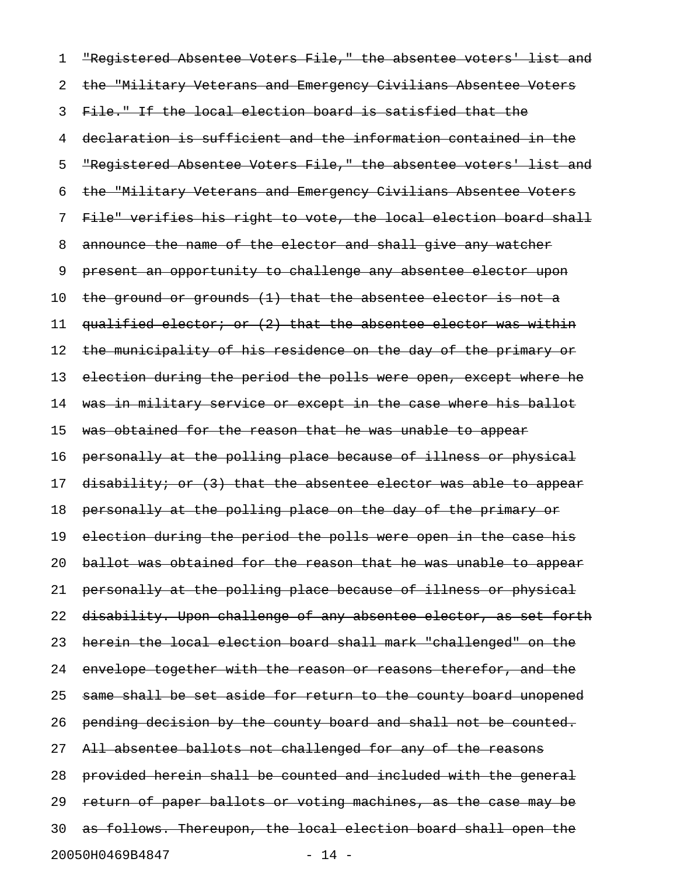1 "Registered Absentee Voters File," the absentee voters' list and 2 the "Military Veterans and Emergency Civilians Absentee Voters 3 File." If the local election board is satisfied that the 4 declaration is sufficient and the information contained in the 5 "Registered Absentee Voters File," the absentee voters' list and 6 the "Military Veterans and Emergency Civilians Absentee Voters 7 File" verifies his right to vote, the local election board shall 8 announce the name of the elector and shall give any watcher 9 present an opportunity to challenge any absentee elector upon 10 the ground or grounds  $(1)$  that the absentee elector is not a 11 qualified elector; or (2) that the absentee elector was within 12 the municipality of his residence on the day of the primary or 13 election during the period the polls were open, except where he 14 was in military service or except in the case where his ballot 15 was obtained for the reason that he was unable to appear 16 personally at the polling place because of illness or physical 17 disability; or (3) that the absentee elector was able to appear 18 personally at the polling place on the day of the primary or 19 election during the period the polls were open in the case his 20 ballot was obtained for the reason that he was unable to appear 21 personally at the polling place because of illness or physical 22 disability. Upon challenge of any absentee elector, as set forth 23 herein the local election board shall mark "challenged" on the 24 envelope together with the reason or reasons therefor, and the 25 same shall be set aside for return to the county board unopened 26 pending decision by the county board and shall not be counted. 27 All absentee ballots not challenged for any of the reasons 28 provided herein shall be counted and included with the general 29 return of paper ballots or voting machines, as the case may be 30 as follows. Thereupon, the local election board shall open the 20050H0469B4847 - 14 -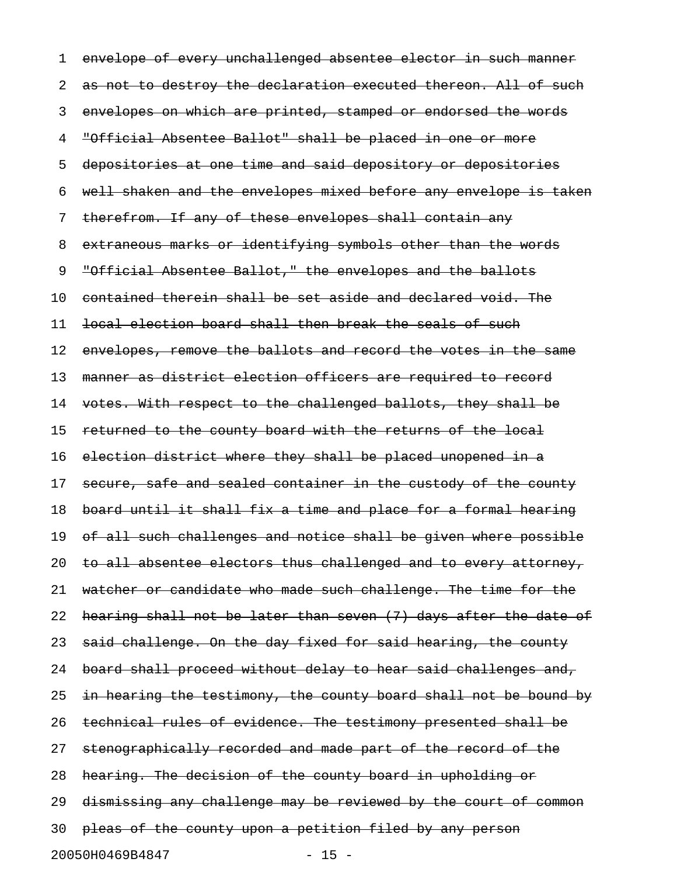1 envelope of every unchallenged absentee elector in such manner 2 as not to destroy the declaration executed thereon. All of such 3 envelopes on which are printed, stamped or endorsed the words 4 "Official Absentee Ballot" shall be placed in one or more 5 depositories at one time and said depository or depositories 6 well shaken and the envelopes mixed before any envelope is taken 7 therefrom. If any of these envelopes shall contain any 8 extraneous marks or identifying symbols other than the words 9 "Official Absentee Ballot," the envelopes and the ballots 10 contained therein shall be set aside and declared void. The 11 local election board shall then break the seals of such 12 envelopes, remove the ballots and record the votes in the same 13 manner as district election officers are required to record 14 votes. With respect to the challenged ballots, they shall be 15 returned to the county board with the returns of the local 16 election district where they shall be placed unopened in a 17 secure, safe and sealed container in the custody of the county 18 board until it shall fix a time and place for a formal hearing 19 of all such challenges and notice shall be given where possible 20 to all absentee electors thus challenged and to every attorney, 21 watcher or candidate who made such challenge. The time for the 22 hearing shall not be later than seven (7) days after the date of 23 said challenge. On the day fixed for said hearing, the county 24 board shall proceed without delay to hear said challenges and, 25 in hearing the testimony, the county board shall not be bound by 26 technical rules of evidence. The testimony presented shall be 27 stenographically recorded and made part of the record of the 28 hearing. The decision of the county board in upholding or 29 dismissing any challenge may be reviewed by the court of common 30 pleas of the county upon a petition filed by any person 20050H0469B4847 - 15 -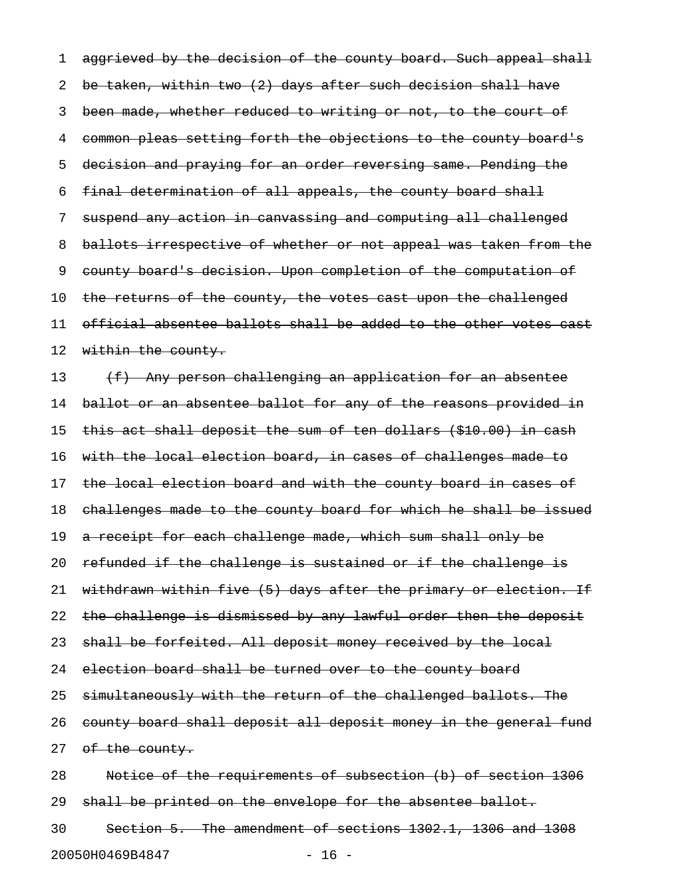1 aggrieved by the decision of the county board. Such appeal shall 2 be taken, within two (2) days after such decision shall have 3 been made, whether reduced to writing or not, to the court of 4 common pleas setting forth the objections to the county board's 5 decision and praying for an order reversing same. Pending the 6 final determination of all appeals, the county board shall 7 suspend any action in canvassing and computing all challenged 8 ballots irrespective of whether or not appeal was taken from the 9 county board's decision. Upon completion of the computation of 10 the returns of the county, the votes cast upon the challenged 11 official absentee ballots shall be added to the other votes cast 12 within the county.

13 (f) Any person challenging an application for an absentee 14 ballot or an absentee ballot for any of the reasons provided in 15 this act shall deposit the sum of ten dollars (\$10.00) in cash 16 with the local election board, in cases of challenges made to 17 the local election board and with the county board in cases of 18 challenges made to the county board for which he shall be issued 19 a receipt for each challenge made, which sum shall only be 20 refunded if the challenge is sustained or if the challenge is 21 withdrawn within five (5) days after the primary or election. If 22 the challenge is dismissed by any lawful order then the deposit 23 shall be forfeited. All deposit money received by the local 24 election board shall be turned over to the county board 25 simultaneously with the return of the challenged ballots. The 26 county board shall deposit all deposit money in the general fund 27 of the county. 28 Notice of the requirements of subsection (b) of section 1306 29 shall be printed on the envelope for the absentee ballot. 30 Section 5. The amendment of sections 1302.1, 1306 and 1308

20050H0469B4847 - 16 -